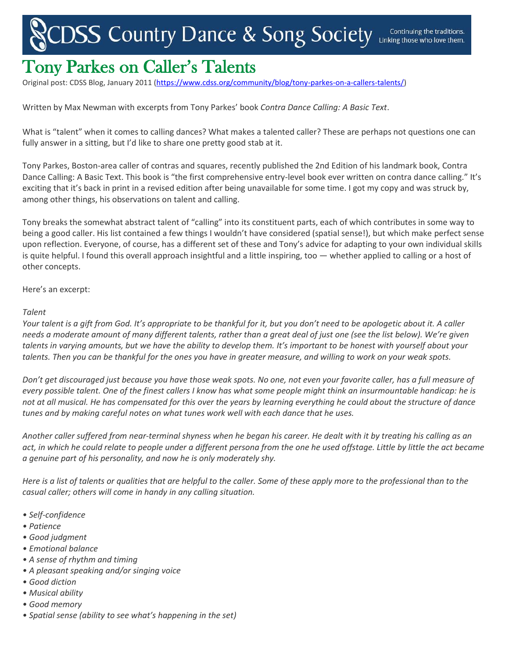## **ISS Country Dance & Song Society Linking the Continuing the**

## Tony Parkes on Caller's Talents

Original post: CDSS Blog, January 2011 [\(https://www.cdss.org/community/blog/tony-parkes-on-a-callers-talents/\)](https://www.cdss.org/community/blog/tony-parkes-on-a-callers-talents/)

Written by Max Newman with excerpts from Tony Parkes' book *Contra Dance Calling: A Basic Text*.

What is "talent" when it comes to calling dances? What makes a talented caller? These are perhaps not questions one can fully answer in a sitting, but I'd like to share one pretty good stab at it.

Tony Parkes, Boston-area caller of contras and squares, recently published the 2nd Edition of his landmark book, Contra Dance Calling: A Basic Text. This book is "the first comprehensive entry-level book ever written on contra dance calling." It's exciting that it's back in print in a revised edition after being unavailable for some time. I got my copy and was struck by, among other things, his observations on talent and calling.

Tony breaks the somewhat abstract talent of "calling" into its constituent parts, each of which contributes in some way to being a good caller. His list contained a few things I wouldn't have considered (spatial sense!), but which make perfect sense upon reflection. Everyone, of course, has a different set of these and Tony's advice for adapting to your own individual skills is quite helpful. I found this overall approach insightful and a little inspiring, too — whether applied to calling or a host of other concepts.

Here's an excerpt:

## *Talent*

*Your talent is a gift from God. It's appropriate to be thankful for it, but you don't need to be apologetic about it. A caller needs a moderate amount of many different talents, rather than a great deal of just one (see the list below). We're given talents in varying amounts, but we have the ability to develop them. It's important to be honest with yourself about your talents. Then you can be thankful for the ones you have in greater measure, and willing to work on your weak spots.*

*Don't get discouraged just because you have those weak spots. No one, not even your favorite caller, has a full measure of every possible talent. One of the finest callers I know has what some people might think an insurmountable handicap: he is not at all musical. He has compensated for this over the years by learning everything he could about the structure of dance tunes and by making careful notes on what tunes work well with each dance that he uses.*

*Another caller suffered from near-terminal shyness when he began his career. He dealt with it by treating his calling as an act, in which he could relate to people under a different persona from the one he used offstage. Little by little the act became a genuine part of his personality, and now he is only moderately shy.*

*Here is a list of talents or qualities that are helpful to the caller. Some of these apply more to the professional than to the casual caller; others will come in handy in any calling situation.*

- *Self-confidence*
- *Patience*
- *Good judgment*
- *Emotional balance*
- *A sense of rhythm and timing*
- *A pleasant speaking and/or singing voice*
- *Good diction*
- *Musical ability*
- *Good memory*
- *Spatial sense (ability to see what's happening in the set)*